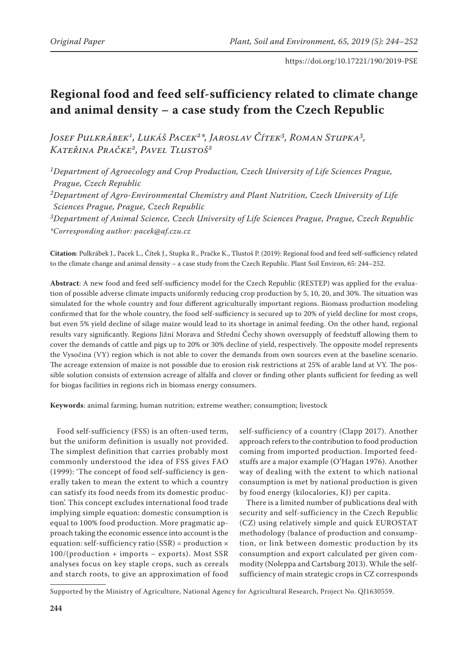# **Regional food and feed self-sufficiency related to climate change and animal density – a case study from the Czech Republic**

*Josef Pulkrábek1, Lukáš Pacek2\*, Jaroslav Čítek3, Roman Stupka3, Kateřina Pračke2, Pavel Tlustoš2*

*1Department of Agroecology and Crop Production, Czech University of Life Sciences Prague, Prague, Czech Republic*

*2Department of Agro-Environmental Chemistry and Plant Nutrition, Czech University of Life Sciences Prague, Prague, Czech Republic*

*3Department of Animal Science, Czech University of Life Sciences Prague, Prague, Czech Republic*

*\*Corresponding author: pacek@af.czu.cz*

**Citation**: Pulkrábek J., Pacek L., Čítek J., Stupka R., Pračke K., Tlustoš P. (2019): Regional food and feed self-sufficiency related to the climate change and animal density – a case study from the Czech Republic. Plant Soil Environ, 65: 244–252.

**Abstract**: A new food and feed self-sufficiency model for the Czech Republic (RESTEP) was applied for the evaluation of possible adverse climate impacts uniformly reducing crop production by 5, 10, 20, and 30%. The situation was simulated for the whole country and four different agriculturally important regions. Biomass production modeling confirmed that for the whole country, the food self-sufficiency is secured up to 20% of yield decline for most crops, but even 5% yield decline of silage maize would lead to its shortage in animal feeding. On the other hand, regional results vary significantly. Regions Jižní Morava and Střední Čechy shown oversupply of feedstuff allowing them to cover the demands of cattle and pigs up to 20% or 30% decline of yield, respectively. The opposite model represents the Vysočina (VY) region which is not able to cover the demands from own sources even at the baseline scenario. The acreage extension of maize is not possible due to erosion risk restrictions at 25% of arable land at VY. The possible solution consists of extension acreage of alfalfa and clover or finding other plants sufficient for feeding as well for biogas facilities in regions rich in biomass energy consumers.

**Keywords**: animal farming; human nutrition; extreme weather; consumption; livestock

Food self-sufficiency (FSS) is an often-used term, but the uniform definition is usually not provided. The simplest definition that carries probably most commonly understood the idea of FSS gives FAO (1999): 'The concept of food self-sufficiency is generally taken to mean the extent to which a country can satisfy its food needs from its domestic production'. This concept excludes international food trade implying simple equation: domestic consumption is equal to 100% food production. More pragmatic approach taking the economic essence into account is the equation: self-sufficiency ratio (SSR) = production  $\times$ 100/(production + imports – exports). Most SSR analyses focus on key staple crops, such as cereals and starch roots, to give an approximation of food

self-sufficiency of a country (Clapp 2017). Another approach refers to the contribution to food production coming from imported production. Imported feedstuffs are a major example (O'Hagan 1976). Another way of dealing with the extent to which national consumption is met by national production is given by food energy (kilocalories, KJ) per capita.

There is a limited number of publications deal with security and self-sufficiency in the Czech Republic (CZ) using relatively simple and quick EUROSTAT methodology (balance of production and consumption, or link between domestic production by its consumption and export calculated per given commodity (Noleppa and Cartsburg 2013). While the selfsufficiency of main strategic crops in CZ corresponds

Supported by the Ministry of Agriculture, National Agency for Agricultural Research, Project No. QJ1630559.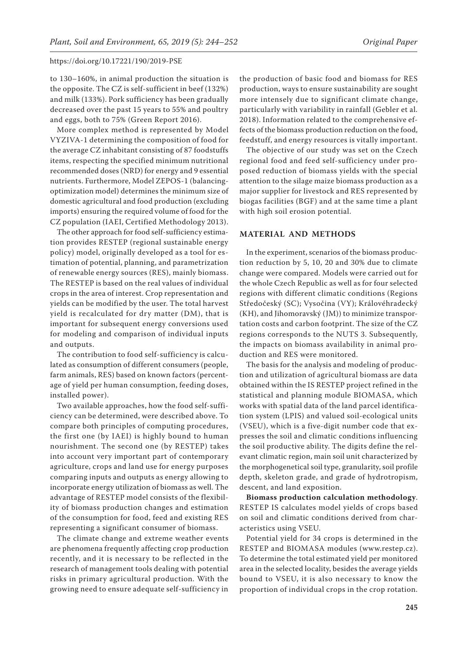to 130–160%, in animal production the situation is the opposite. The CZ is self-sufficient in beef (132%) and milk (133%). Pork sufficiency has been gradually decreased over the past 15 years to 55% and poultry and eggs, both to 75% (Green Report 2016).

More complex method is represented by Model VYZIVA-1 determining the composition of food for the average CZ inhabitant consisting of 87 foodstuffs items, respecting the specified minimum nutritional recommended doses (NRD) for energy and 9 essential nutrients. Furthermore, Model ZEPOS-1 (balancingoptimization model) determines the minimum size of domestic agricultural and food production (excluding imports) ensuring the required volume of food for the CZ population (IAEI, Certified Methodology 2013).

The other approach for food self-sufficiency estimation provides RESTEP (regional sustainable energy policy) model, originally developed as a tool for estimation of potential, planning, and parametrization of renewable energy sources (RES), mainly biomass. The RESTEP is based on the real values of individual crops in the area of interest. Crop representation and yields can be modified by the user. The total harvest yield is recalculated for dry matter (DM), that is important for subsequent energy conversions used for modeling and comparison of individual inputs and outputs.

The contribution to food self-sufficiency is calculated as consumption of different consumers (people, farm animals, RES) based on known factors (percentage of yield per human consumption, feeding doses, installed power).

Two available approaches, how the food self-sufficiency can be determined, were described above. To compare both principles of computing procedures, the first one (by IAEI) is highly bound to human nourishment. The second one (by RESTEP) takes into account very important part of contemporary agriculture, crops and land use for energy purposes comparing inputs and outputs as energy allowing to incorporate energy utilization of biomass as well. The advantage of RESTEP model consists of the flexibility of biomass production changes and estimation of the consumption for food, feed and existing RES representing a significant consumer of biomass.

The climate change and extreme weather events are phenomena frequently affecting crop production recently, and it is necessary to be reflected in the research of management tools dealing with potential risks in primary agricultural production. With the growing need to ensure adequate self-sufficiency in

the production of basic food and biomass for RES production, ways to ensure sustainability are sought more intensely due to significant climate change, particularly with variability in rainfall (Gebler et al. 2018). Information related to the comprehensive effects of the biomass production reduction on the food, feedstuff, and energy resources is vitally important.

The objective of our study was set on the Czech regional food and feed self-sufficiency under proposed reduction of biomass yields with the special attention to the silage maize biomass production as a major supplier for livestock and RES represented by biogas facilities (BGF) and at the same time a plant with high soil erosion potential.

# **MATERIAL AND METHODS**

In the experiment, scenarios of the biomass production reduction by 5, 10, 20 and 30% due to climate change were compared. Models were carried out for the whole Czech Republic as well as for four selected regions with different climatic conditions (Regions Středočeský (SC); Vysočina (VY); Královéhradecký (KH), and Jihomoravský (JM)) to minimize transportation costs and carbon footprint. The size of the CZ regions corresponds to the NUTS 3. Subsequently, the impacts on biomass availability in animal production and RES were monitored.

The basis for the analysis and modeling of production and utilization of agricultural biomass are data obtained within the IS RESTEP project refined in the statistical and planning module BIOMASA, which works with spatial data of the land parcel identification system (LPIS) and valued soil-ecological units (VSEU), which is a five-digit number code that expresses the soil and climatic conditions influencing the soil productive ability. The digits define the relevant climatic region, main soil unit characterized by the morphogenetical soil type, granularity, soil profile depth, skeleton grade, and grade of hydrotropism, descent, and land exposition.

**Biomass production calculation methodology**. RESTEP IS calculates model yields of crops based on soil and climatic conditions derived from characteristics using VSEU.

Potential yield for 34 crops is determined in the RESTEP and BIOMASA modules (www.restep.cz). To determine the total estimated yield per monitored area in the selected locality, besides the average yields bound to VSEU, it is also necessary to know the proportion of individual crops in the crop rotation.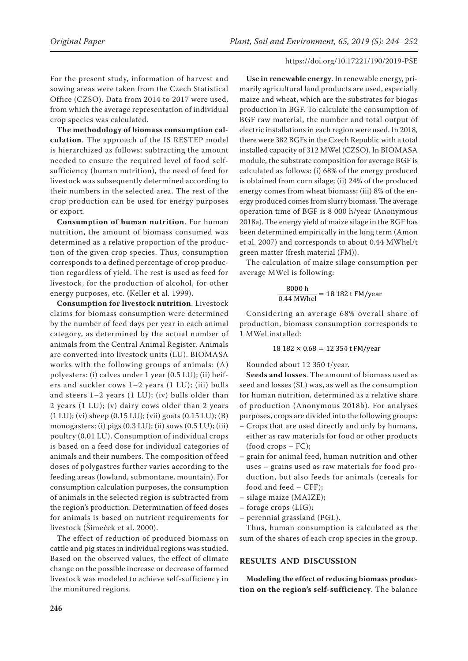For the present study, information of harvest and sowing areas were taken from the Czech Statistical Office (CZSO). Data from 2014 to 2017 were used, from which the average representation of individual crop species was calculated.

**The methodology of biomass consumption calculation**. The approach of the IS RESTEP model is hierarchized as follows: subtracting the amount needed to ensure the required level of food selfsufficiency (human nutrition), the need of feed for livestock was subsequently determined according to their numbers in the selected area. The rest of the crop production can be used for energy purposes or export.

**Consumption of human nutrition**. For human nutrition, the amount of biomass consumed was determined as a relative proportion of the production of the given crop species. Thus, consumption corresponds to a defined percentage of crop production regardless of yield. The rest is used as feed for livestock, for the production of alcohol, for other energy purposes, etc. (Keller et al. 1999).

**Consumption for livestock nutrition**. Livestock claims for biomass consumption were determined by the number of feed days per year in each animal category, as determined by the actual number of animals from the Central Animal Register. Animals are converted into livestock units (LU). BIOMASA works with the following groups of animals: (A) polyesters: (i) calves under 1 year (0.5 LU); (ii) heifers and suckler cows 1–2 years (1 LU); (iii) bulls and steers 1–2 years (1 LU); (iv) bulls older than 2 years (1 LU); (v) dairy cows older than 2 years (1 LU); (vi) sheep (0.15 LU); (vii) goats (0.15 LU); (B) monogasters: (i) pigs (0.3 LU); (ii) sows (0.5 LU); (iii) poultry (0.01 LU). Consumption of individual crops is based on a feed dose for individual categories of animals and their numbers. The composition of feed doses of polygastres further varies according to the feeding areas (lowland, submontane, mountain). For consumption calculation purposes, the consumption of animals in the selected region is subtracted from the region's production. Determination of feed doses for animals is based on nutrient requirements for livestock (Šimeček et al. 2000).

The effect of reduction of produced biomass on cattle and pig states in individual regions was studied. Based on the observed values, the effect of climate change on the possible increase or decrease of farmed livestock was modeled to achieve self-sufficiency in the monitored regions.

**Use in renewable energy**. In renewable energy, primarily agricultural land products are used, especially maize and wheat, which are the substrates for biogas production in BGF. To calculate the consumption of BGF raw material, the number and total output of electric installations in each region were used. In 2018, there were 382 BGFsin the Czech Republic with a total installed capacity of 312 MWel (CZSO). In BIOMASA module, the substrate composition for average BGF is calculated as follows: (i) 68% of the energy produced is obtained from corn silage; (ii) 24% of the produced energy comes from wheat biomass; (iii) 8% of the energy produced comesfrom slurry biomass. The average operation time of BGF is 8 000 h/year (Anonymous 2018a). The energy yield of maize silage in the BGF has been determined empirically in the long term (Amon et al. 2007) and corresponds to about 0.44 MWhel/t green matter (fresh material (FM)).

The calculation of maize silage consumption per average MWel is following:

$$
\frac{8000 \text{ h}}{0.44 \text{ MWhel}} = 18182 \text{ t FM/year}
$$

Considering an average 68% overall share of production, biomass consumption corresponds to 1 MWel installed:

$$
18\,182 \times 0.68 = 12\,354 \text{ t FM/year}
$$

Rounded about 12 350 t/year.

**Seeds and losses**. The amount of biomass used as seed and losses (SL) was, as well as the consumption for human nutrition, determined as a relative share of production (Anonymous 2018b). For analyses purposes, crops are divided into the following groups:

- Crops that are used directly and only by humans, either as raw materials for food or other products (food crops – FC);
- grain for animal feed, human nutrition and other uses – grains used as raw materials for food production, but also feeds for animals (cereals for food and feed – CFF);
- silage maize (MAIZE);
- forage crops (LIG);
- perennial grassland (PGL).

Thus, human consumption is calculated as the sum of the shares of each crop species in the group.

## **RESULTS AND DISCUSSION**

**Modeling the effect of reducing biomass production on the region's self-sufficiency**. The balance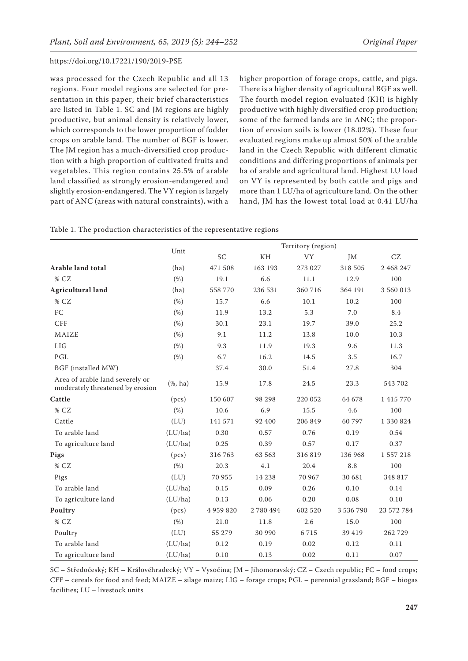was processed for the Czech Republic and all 13 regions. Four model regions are selected for presentation in this paper; their brief characteristics are listed in Table 1. SC and JM regions are highly productive, but animal density is relatively lower, which corresponds to the lower proportion of fodder crops on arable land. The number of BGF is lower. The JM region has a much-diversified crop production with a high proportion of cultivated fruits and vegetables. This region contains 25.5% of arable land classified as strongly erosion-endangered and slightly erosion-endangered. The VY region is largely part of ANC (areas with natural constraints), with a

higher proportion of forage crops, cattle, and pigs. There is a higher density of agricultural BGF as well. The fourth model region evaluated (KH) is highly productive with highly diversified crop production; some of the farmed lands are in ANC; the proportion of erosion soils is lower (18.02%). These four evaluated regions make up almost 50% of the arable land in the Czech Republic with different climatic conditions and differing proportions of animals per ha of arable and agricultural land. Highest LU load on VY is represented by both cattle and pigs and more than 1 LU/ha of agriculture land. On the other hand, JM has the lowest total load at 0.41 LU/ha

| Table 1. The production characteristics of the representative regions |  |  |
|-----------------------------------------------------------------------|--|--|
|-----------------------------------------------------------------------|--|--|

|                                                                     |             |               |         | Territory (region) |           |            |
|---------------------------------------------------------------------|-------------|---------------|---------|--------------------|-----------|------------|
|                                                                     | Unit        | SC            | KH      | <b>VY</b>          | JM        | CZ         |
| <b>Arable land total</b>                                            | (ha)        | 471 508       | 163 193 | 273 027            | 318 505   | 2 468 247  |
| % CZ                                                                | (%)         | 19.1          | 6.6     | 11.1               | 12.9      | 100        |
| <b>Agricultural land</b>                                            | (ha)        | 558 770       | 236 531 | 360 716            | 364 191   | 3 560 013  |
| $\%$ CZ                                                             | (%)         | 15.7          | 6.6     | 10.1               | 10.2      | 100        |
| FC                                                                  | (%)         | 11.9          | 13.2    | 5.3                | 7.0       | 8.4        |
| CFF                                                                 | (%)         | 30.1          | 23.1    | 19.7               | 39.0      | 25.2       |
| MAIZE                                                               | (%)         | 9.1           | 11.2    | 13.8               | 10.0      | 10.3       |
| LIG                                                                 | (%)         | 9.3           | 11.9    | 19.3               | 9.6       | 11.3       |
| PGL                                                                 | (%)         | 6.7           | 16.2    | 14.5               | 3.5       | 16.7       |
| BGF (installed MW)                                                  |             | 37.4          | 30.0    | 51.4               | 27.8      | 304        |
| Area of arable land severely or<br>moderately threatened by erosion | $(\%$ , ha) | 15.9          | 17.8    | 24.5               | 23.3      | 543 702    |
| Cattle                                                              | (pcs)       | 150 607       | 98 298  | 220 052            | 64 678    | 1 415 770  |
| $\%$ CZ                                                             | (% )        | 10.6          | 6.9     | 15.5               | 4.6       | 100        |
| Cattle                                                              | (LU)        | 141 571       | 92 400  | 206 849            | 60 797    | 1 330 824  |
| To arable land                                                      | (LU/ha)     | 0.30          | 0.57    | 0.76               | 0.19      | 0.54       |
| To agriculture land                                                 | (LU/ha)     | 0.25          | 0.39    | 0.57               | 0.17      | 0.37       |
| Pigs                                                                | (pcs)       | 316 763       | 63 563  | 316 819            | 136 968   | 1 557 218  |
| $%$ CZ                                                              | (%)         | 20.3          | 4.1     | 20.4               | 8.8       | 100        |
| Pigs                                                                | (LU)        | 70 955        | 14 2 38 | 70 967             | 30 681    | 348 817    |
| To arable land                                                      | (LU/ha)     | 0.15          | 0.09    | 0.26               | 0.10      | 0.14       |
| To agriculture land                                                 | (LU/ha)     | 0.13          | 0.06    | 0.20               | 0.08      | 0.10       |
| Poultry                                                             | (pcs)       | 4 9 5 9 8 2 0 | 2780494 | 602 520            | 3 536 790 | 23 572 784 |
| $%$ CZ                                                              | (%)         | 21.0          | 11.8    | 2.6                | 15.0      | 100        |
| Poultry                                                             | (LU)        | 55 279        | 30 990  | 6715               | 39 419    | 262729     |
| To arable land                                                      | (LU/ha)     | 0.12          | 0.19    | 0.02               | 0.12      | 0.11       |
| To agriculture land                                                 | (LU/ha)     | 0.10          | 0.13    | 0.02               | 0.11      | 0.07       |

SC – Středočeský; KH – Královéhradecký; VY – Vysočina; JM – Jihomoravský; CZ – Czech republic; FC – food crops; CFF – cereals for food and feed; MAIZE – silage maize; LIG – forage crops; PGL – perennial grassland; BGF – biogas facilities; LU – livestock units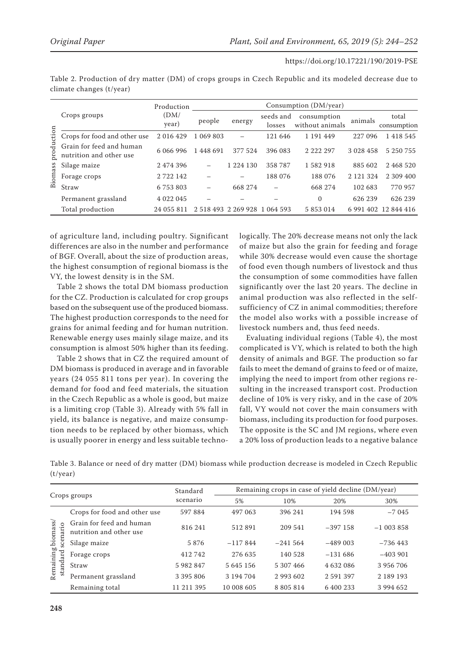| https://doi.org/10.17221/190/2019-PSE |  |
|---------------------------------------|--|
|---------------------------------------|--|

| Table 2. Production of dry matter (DM) of crops groups in Czech Republic and its modeled decrease due to |  |  |  |  |  |
|----------------------------------------------------------------------------------------------------------|--|--|--|--|--|
| climate changes (t/year)                                                                                 |  |  |  |  |  |

|              |                                                     | Production    | Consumption (DM/year)          |               |                     |                                |               |                      |  |  |
|--------------|-----------------------------------------------------|---------------|--------------------------------|---------------|---------------------|--------------------------------|---------------|----------------------|--|--|
| $\sin$       | Crops groups                                        | (DM)<br>year) | people                         | energy        | seeds and<br>losses | consumption<br>without animals | animals       | total<br>consumption |  |  |
|              | Crops for food and other use                        | 2 016 429     | 1 069 803                      |               | 121 646             | 1 191 449                      | 227 096       | 1 418 545            |  |  |
| ducti<br>pro | Grain for feed and human<br>nutrition and other use | 6 066 996     | 448 691                        | 377 524       | 396 083             |                                | 3 028 458     | 5 250 755            |  |  |
|              | Silage maize                                        | 2 474 396     | —                              | 1 2 2 4 1 3 0 | 358787              | 1582918                        | 885 602       | 2468520              |  |  |
| Biomass      | Forage crops                                        | 2 7 2 2 1 4 2 |                                |               | 188 076             | 188 076                        | 2 1 2 1 3 2 4 | 2 309 400            |  |  |
|              | Straw                                               | 6 753 803     | —                              | 668 274       |                     | 668 274                        | 102 683       | 770957               |  |  |
|              | Permanent grassland                                 | 4 022 045     |                                |               |                     | $\Omega$                       | 626 239       | 626 239              |  |  |
|              | Total production                                    | 24 055 811    | 2 5 18 493 2 269 928 1 064 593 |               |                     | 5 853 014                      |               | 6 991 402 12 844 416 |  |  |

of agriculture land, including poultry. Significant differences are also in the number and performance of BGF. Overall, about the size of production areas, the highest consumption of regional biomass is the VY, the lowest density is in the SM.

Table 2 shows the total DM biomass production for the CZ. Production is calculated for crop groups based on the subsequent use of the produced biomass. The highest production corresponds to the need for grains for animal feeding and for human nutrition. Renewable energy uses mainly silage maize, and its consumption is almost 50% higher than its feeding.

Table 2 shows that in CZ the required amount of DM biomass is produced in average and in favorable years (24 055 811 tons per year). In covering the demand for food and feed materials, the situation in the Czech Republic as a whole is good, but maize is a limiting crop (Table 3). Already with 5% fall in yield, its balance is negative, and maize consumption needs to be replaced by other biomass, which is usually poorer in energy and less suitable technologically. The 20% decrease means not only the lack of maize but also the grain for feeding and forage while 30% decrease would even cause the shortage of food even though numbers of livestock and thus the consumption of some commodities have fallen significantly over the last 20 years. The decline in animal production was also reflected in the selfsufficiency of CZ in animal commodities; therefore the model also works with a possible increase of livestock numbers and, thus feed needs.

Evaluating individual regions (Table 4), the most complicated is VY, which is related to both the high density of animals and BGF. The production so far fails to meet the demand of grains to feed or of maize, implying the need to import from other regions resulting in the increased transport cost. Production decline of 10% is very risky, and in the case of 20% fall, VY would not cover the main consumers with biomass, including its production for food purposes. The opposite is the SC and JM regions, where even a 20% loss of production leads to a negative balance

Table 3. Balance or need of dry matter (DM) biomass while production decrease is modeled in Czech Republic (t/year)

| Crops groups              |                                                     | Standard   | Remaining crops in case of yield decline (DM/year) |            |            |            |  |  |  |
|---------------------------|-----------------------------------------------------|------------|----------------------------------------------------|------------|------------|------------|--|--|--|
|                           |                                                     | scenario   | 5%                                                 | 10%        | 20%        | 30%        |  |  |  |
|                           | Crops for food and other use                        | 597 884    | 497 063                                            | 396 241    | 194 598    | $-7045$    |  |  |  |
| Remaining biomass,<br>'nо | Grain for feed and human<br>nutrition and other use | 816 241    | 512891                                             | 209 541    | $-397$ 158 | $-1003858$ |  |  |  |
| sce:                      | Silage maize                                        | 5876       | $-117844$                                          | $-241,564$ | $-489003$  | $-736443$  |  |  |  |
| ↽                         | Forage crops                                        | 412742     | 276 635                                            | 140 528    | $-131686$  | $-403901$  |  |  |  |
| standar                   | Straw                                               | 5982847    | 5 645 156                                          | 5 307 466  | 4 632 086  | 3 956 706  |  |  |  |
|                           | Permanent grassland                                 | 3 395 806  | 3 194 704                                          | 2 993 602  | 2591397    | 2 189 193  |  |  |  |
|                           | Remaining total                                     | 11 211 395 | 10 008 605                                         | 8 805 814  | 6 400 233  | 3 994 652  |  |  |  |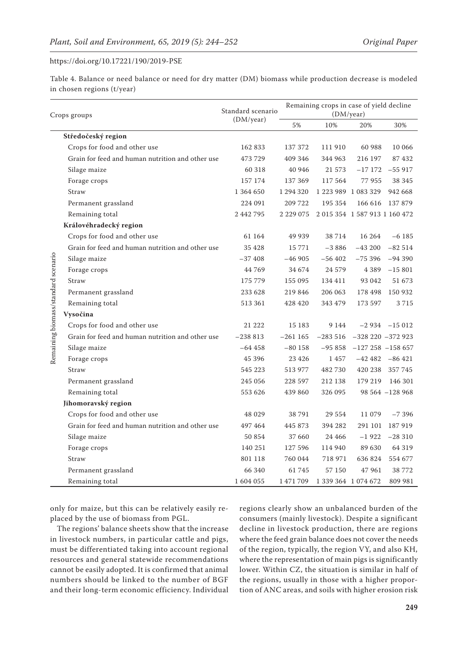Table 4. Balance or need balance or need for dry matter (DM) biomass while production decrease is modeled in chosen regions (t/year)

|                                     | Crops groups                                     | Standard scenario<br>(DM/year) |               |           | Remaining crops in case of yield decline<br>(DM/year) |                 |  |  |
|-------------------------------------|--------------------------------------------------|--------------------------------|---------------|-----------|-------------------------------------------------------|-----------------|--|--|
|                                     |                                                  |                                | 5%            | 10%       | 20%                                                   | 30%             |  |  |
|                                     | Středočeský region                               |                                |               |           |                                                       |                 |  |  |
|                                     | Crops for food and other use                     | 162 833                        | 137 372       | 111 910   | 60 988                                                | 10 066          |  |  |
|                                     | Grain for feed and human nutrition and other use | 473729                         | 409 346       | 344 963   | 216 197                                               | 87 432          |  |  |
|                                     | Silage maize                                     | 60 318                         | 40 946        | 21 573    | $-17~172$                                             | $-55917$        |  |  |
|                                     | Forage crops                                     | 157 174                        | 137 369       | 117 564   | 77 955                                                | 38 345          |  |  |
|                                     | Straw                                            | 1 364 650                      | 1294320       |           | 1 223 989 1 083 329                                   | 942 668         |  |  |
|                                     | Permanent grassland                              | 224 091                        | 209 722       | 195 354   | 166 616                                               | 137879          |  |  |
|                                     | Remaining total                                  | 2 442 795                      | 2 2 2 9 0 7 5 |           | 2 015 354 1 587 913 1 160 472                         |                 |  |  |
|                                     | Královéhradecký region                           |                                |               |           |                                                       |                 |  |  |
|                                     | Crops for food and other use                     | 61 164                         | 49 9 39       | 38 7 1 4  | 16 264                                                | $-6185$         |  |  |
|                                     | Grain for feed and human nutrition and other use | 35 428                         | 15771         | $-3886$   | $-43200$                                              | $-82514$        |  |  |
|                                     | Silage maize                                     | $-37408$                       | $-46905$      | $-56402$  | $-75.396$                                             | $-94390$        |  |  |
|                                     | Forage crops                                     | 44 769                         | 34 674        | 24 5 79   | 4 3 8 9                                               | $-15801$        |  |  |
|                                     | Straw                                            | 175 779                        | 155 095       | 134 411   | 93 042                                                | 51 673          |  |  |
|                                     | Permanent grassland                              | 233 628                        | 219 846       | 206 063   | 178 498                                               | 150 932         |  |  |
|                                     | Remaining total                                  | 513 361                        | 428 420       | 343 479   | 173 597                                               | 3715            |  |  |
| Remaining biomass/standard scenario | Vysočina                                         |                                |               |           |                                                       |                 |  |  |
|                                     | Crops for food and other use                     | 21 222                         | 15 183        | 9 1 4 4   | $-2934$                                               | $-15012$        |  |  |
|                                     | Grain for feed and human nutrition and other use | $-238813$                      | $-261165$     | $-283516$ | $-328220 - 372923$                                    |                 |  |  |
|                                     | Silage maize                                     | $-64458$                       | $-80158$      | $-95858$  | $-127258 - 158657$                                    |                 |  |  |
|                                     | Forage crops                                     | 45 396                         | 23 4 26       | 1457      | $-42482$                                              | $-86421$        |  |  |
|                                     | Straw                                            | 545 223                        | 513 977       | 482730    | 420 238                                               | 357 745         |  |  |
|                                     | Permanent grassland                              | 245 056                        | 228 597       | 212 138   | 179 219                                               | 146 301         |  |  |
|                                     | Remaining total                                  | 553 626                        | 439 860       | 326 095   |                                                       | 98 564 -128 968 |  |  |
|                                     | Jihomoravský region                              |                                |               |           |                                                       |                 |  |  |
|                                     | Crops for food and other use                     | 48 0 29                        | 38 791        | 29 5 5 4  | 11 079                                                | $-7396$         |  |  |
|                                     | Grain for feed and human nutrition and other use | 497 464                        | 445 873       | 394 282   | 291 101                                               | 187919          |  |  |
|                                     | Silage maize                                     | 50 854                         | 37 660        | 24 4 6 6  | $-1922$                                               | $-28310$        |  |  |
|                                     | Forage crops                                     | 140 251                        | 127 596       | 114 940   | 89 630                                                | 64 319          |  |  |
|                                     | Straw                                            | 801 118                        | 760 044       | 718 971   | 636 824                                               | 554 677         |  |  |
|                                     | Permanent grassland                              | 66 340                         | 61745         | 57 150    | 47 961                                                | 38 772          |  |  |
|                                     | Remaining total                                  | 1 604 055                      | 1471709       |           | 1 339 364 1 074 672                                   | 809 981         |  |  |

only for maize, but this can be relatively easily replaced by the use of biomass from PGL.

The regions' balance sheets show that the increase in livestock numbers, in particular cattle and pigs, must be differentiated taking into account regional resources and general statewide recommendations cannot be easily adopted. It is confirmed that animal numbers should be linked to the number of BGF and their long-term economic efficiency. Individual

regions clearly show an unbalanced burden of the consumers (mainly livestock). Despite a significant decline in livestock production, there are regions where the feed grain balance does not cover the needs of the region, typically, the region VY, and also KH, where the representation of main pigs is significantly lower. Within CZ, the situation is similar in half of the regions, usually in those with a higher proportion of ANC areas, and soils with higher erosion risk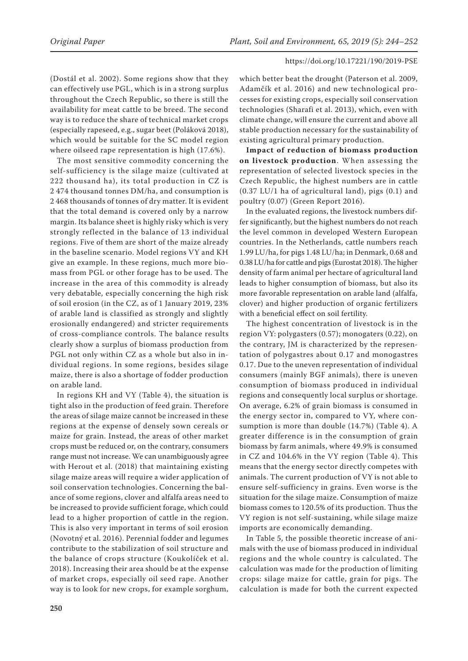(Dostál et al. 2002). Some regions show that they can effectively use PGL, which is in a strong surplus throughout the Czech Republic, so there is still the availability for meat cattle to be breed. The second way is to reduce the share of technical market crops (especially rapeseed, e.g., sugar beet (Poláková 2018), which would be suitable for the SC model region where oilseed rape representation is high (17.6%).

The most sensitive commodity concerning the self-sufficiency is the silage maize (cultivated at 222 thousand ha), its total production in CZ is 2 474 thousand tonnes DM/ha, and consumption is 2 468 thousands of tonnes of dry matter. It is evident that the total demand is covered only by a narrow margin. Its balance sheet is highly risky which is very strongly reflected in the balance of 13 individual regions. Five of them are short of the maize already in the baseline scenario. Model regions VY and KH give an example. In these regions, much more biomass from PGL or other forage has to be used. The increase in the area of this commodity is already very debatable, especially concerning the high risk of soil erosion (in the CZ, as of 1 January 2019, 23% of arable land is classified as strongly and slightly erosionally endangered) and stricter requirements of cross-compliance controls. The balance results clearly show a surplus of biomass production from PGL not only within CZ as a whole but also in individual regions. In some regions, besides silage maize, there is also a shortage of fodder production on arable land.

In regions KH and VY (Table 4), the situation is tight also in the production of feed grain. Therefore the areas of silage maize cannot be increased in these regions at the expense of densely sown cereals or maize for grain. Instead, the areas of other market crops must be reduced or, on the contrary, consumers range must not increase. We can unambiguously agree with Herout et al. (2018) that maintaining existing silage maize areas will require a wider application of soil conservation technologies. Concerning the balance of some regions, clover and alfalfa areas need to be increased to provide sufficient forage, which could lead to a higher proportion of cattle in the region. This is also very important in terms of soil erosion (Novotný et al. 2016). Perennial fodder and legumes contribute to the stabilization of soil structure and the balance of crops structure (Koukolíček et al. 2018). Increasing their area should be at the expense of market crops, especially oil seed rape. Another way is to look for new crops, for example sorghum,

which better beat the drought (Paterson et al. 2009, Adamčík et al. 2016) and new technological processes for existing crops, especially soil conservation technologies (Sharafi et al. 2013), which, even with climate change, will ensure the current and above all stable production necessary for the sustainability of existing agricultural primary production.

**Impact of reduction of biomass production on livestock production**. When assessing the representation of selected livestock species in the Czech Republic, the highest numbers are in cattle (0.37 LU/1 ha of agricultural land), pigs (0.1) and poultry (0.07) (Green Report 2016).

In the evaluated regions, the livestock numbers differ significantly, but the highest numbers do not reach the level common in developed Western European countries. In the Netherlands, cattle numbers reach 1.99 LU/ha, for pigs 1.48 LU/ha; in Denmark, 0.68 and 0.38 LU/ha for cattle and pigs (Eurostat 2018). The higher density of farm animal per hectare of agricultural land leads to higher consumption of biomass, but also its more favorable representation on arable land (alfalfa, clover) and higher production of organic fertilizers with a beneficial effect on soil fertility.

The highest concentration of livestock is in the region VY: polygasters (0.57); monogaters (0.22), on the contrary, JM is characterized by the representation of polygastres about 0.17 and monogastres 0.17. Due to the uneven representation of individual consumers (mainly BGF animals), there is uneven consumption of biomass produced in individual regions and consequently local surplus or shortage. On average, 6.2% of grain biomass is consumed in the energy sector in, compared to VY, where consumption is more than double (14.7%) (Table 4). A greater difference is in the consumption of grain biomass by farm animals, where 49.9% is consumed in CZ and 104.6% in the VY region (Table 4). This means that the energy sector directly competes with animals. The current production of VY is not able to ensure self-sufficiency in grains. Even worse is the situation for the silage maize. Consumption of maize biomass comes to 120.5% of its production. Thus the VY region is not self-sustaining, while silage maize imports are economically demanding.

In Table 5, the possible theoretic increase of animals with the use of biomass produced in individual regions and the whole country is calculated. The calculation was made for the production of limiting crops: silage maize for cattle, grain for pigs. The calculation is made for both the current expected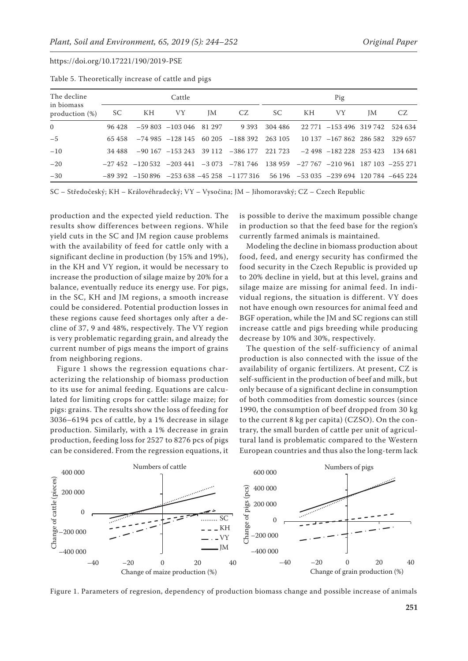| The decline                     |        |    | Cattle                 |     |                                                                                                                |         |    | Pig                        |     |                   |
|---------------------------------|--------|----|------------------------|-----|----------------------------------------------------------------------------------------------------------------|---------|----|----------------------------|-----|-------------------|
| in biomass<br>production $(\%)$ | SC.    | KH | VY.                    | IM. | CZ.                                                                                                            | SC      | KН | <b>VY</b>                  | IM. | CZ                |
| $\Omega$                        | 96.428 |    | $-59803 - 10304681297$ |     | 9 3 9 3                                                                                                        | 304 486 |    | 22 771 -153 496 319 742    |     | 524 634           |
| $-5$                            | 65458  |    | $-74985 -128145$       |     | $60\,205$ $-188\,392$                                                                                          | 263 105 |    | 10 137 -167 862 286 582    |     | 329.657           |
| $-10$                           | 34 488 |    | $-90, 167, -153, 243$  |     | 39 112 - 386 177                                                                                               | 221 723 |    | $-2,498$ $-182,228$ 253423 |     | 134 681           |
| $-20$                           |        |    |                        |     | $-27452 -120532 -203441 -3073 -781746$                                                                         | 138 959 |    | $-27\,767$ $-210\,961$     |     | 187 103 - 255 271 |
| $-30$                           |        |    |                        |     | $-89\,392$ $-150\,896$ $-253\,638$ $-45\,258$ $-1\,177\,316$ 56 196 $-53\,035$ $-239\,694$ 120 784 $-645\,224$ |         |    |                            |     |                   |

Table 5. Theoretically increase of cattle and pigs

SC – Středočeský; KH – Královéhradecký; VY – Vysočina; JM – Jihomoravský; CZ – Czech Republic

production and the expected yield reduction. The results show differences between regions. While yield cuts in the SC and JM region cause problems with the availability of feed for cattle only with a significant decline in production (by 15% and 19%), in the KH and VY region, it would be necessary to increase the production of silage maize by 20% for a balance, eventually reduce its energy use. For pigs, in the SC, KH and JM regions, a smooth increase could be considered. Potential production losses in these regions cause feed shortages only after a decline of 37, 9 and 48%, respectively. The VY region is very problematic regarding grain, and already the current number of pigs means the import of grains from neighboring regions.

Figure 1 shows the regression equations characterizing the relationship of biomass production to its use for animal feeding. Equations are calculated for limiting crops for cattle: silage maize; for pigs: grains. The results show the loss of feeding for 3036–6194 pcs of cattle, by a 1% decrease in silage production. Similarly, with a 1% decrease in grain production, feeding loss for 2527 to 8276 pcs of pigs can be considered. From the regression equations, it

is possible to derive the maximum possible change in production so that the feed base for the region's currently farmed animals is maintained.

Modeling the decline in biomass production about food, feed, and energy security has confirmed the food security in the Czech Republic is provided up to 20% decline in yield, but at this level, grains and silage maize are missing for animal feed. In individual regions, the situation is different. VY does not have enough own resources for animal feed and BGF operation, while the JM and SC regions can still increase cattle and pigs breeding while producing decrease by 10% and 30%, respectively.

The question of the self-sufficiency of animal production is also connected with the issue of the availability of organic fertilizers. At present, CZ is self-sufficient in the production of beef and milk, but only because of a significant decline in consumption of both commodities from domestic sources (since 1990, the consumption of beef dropped from 30 kg to the current 8 kg per capita) (CZSO). On the contrary, the small burden of cattle per unit of agricultural land is problematic compared to the Western European countries and thus also the long-term lack



Figure 1. Parameters of regresion, dependency of production biomass change and possible increase of animals